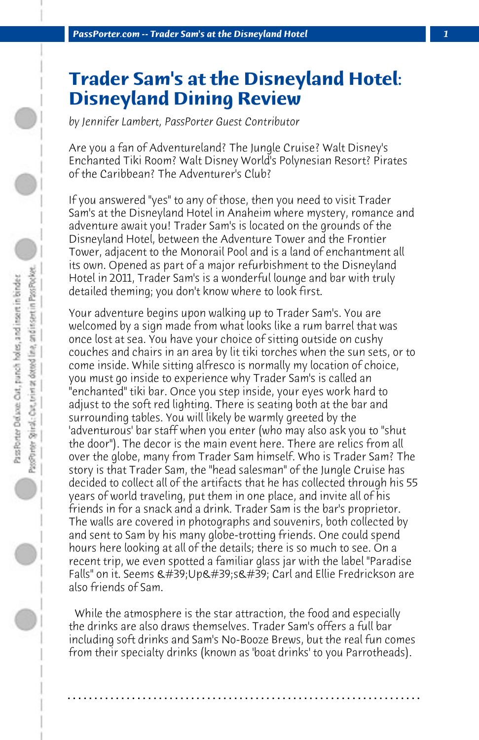## **Trader Sam's at the Disneyland Hotel: Disneyland Dining Review**

*by Jennifer Lambert, PassPorter Guest Contributor*

Are you a fan of Adventureland? The Jungle Cruise? Walt Disney's Enchanted Tiki Room? Walt Disney World's Polynesian Resort? Pirates of the Caribbean? The Adventurer's Club?

If you answered "yes" to any of those, then you need to visit Trader Sam's at the Disneyland Hotel in Anaheim where mystery, romance and adventure await you! Trader Sam's is located on the grounds of the Disneyland Hotel, between the Adventure Tower and the Frontier Tower, adjacent to the Monorail Pool and is a land of enchantment all its own. Opened as part of a major refurbishment to the Disneyland Hotel in 2011, Trader Sam's is a wonderful lounge and bar with truly detailed theming; you don't know where to look first.

Your adventure begins upon walking up to Trader Sam's. You are welcomed by a sign made from what looks like a rum barrel that was once lost at sea. You have your choice of sitting outside on cushy couches and chairs in an area by lit tiki torches when the sun sets, or to come inside. While sitting alfresco is normally my location of choice, you must go inside to experience why Trader Sam's is called an "enchanted" tiki bar. Once you step inside, your eyes work hard to adjust to the soft red lighting. There is seating both at the bar and surrounding tables. You will likely be warmly greeted by the 'adventurous' bar staff when you enter (who may also ask you to "shut the door"). The decor is the main event here. There are relics from all over the globe, many from Trader Sam himself. Who is Trader Sam? The story is that Trader Sam, the "head salesman" of the Jungle Cruise has decided to collect all of the artifacts that he has collected through his 55 years of world traveling, put them in one place, and invite all of his friends in for a snack and a drink. Trader Sam is the bar's proprietor. The walls are covered in photographs and souvenirs, both collected by and sent to Sam by his many globe-trotting friends. One could spend hours here looking at all of the details; there is so much to see. On a recent trip, we even spotted a familiar glass jar with the label "Paradise Falls" on it. Seems ' Up' s' Carl and Ellie Fredrickson are also friends of Sam.

 While the atmosphere is the star attraction, the food and especially the drinks are also draws themselves. Trader Sam's offers a full bar including soft drinks and Sam's No-Booze Brews, but the real fun comes from their specialty drinks (known as 'boat drinks' to you Parrotheads).

**. . . . . . . . . . . . . . . . . . . . . . . . . . . . . . . . . . . . . . . . . . . . . . . . . . . . . . . . . . . . . . . . . .**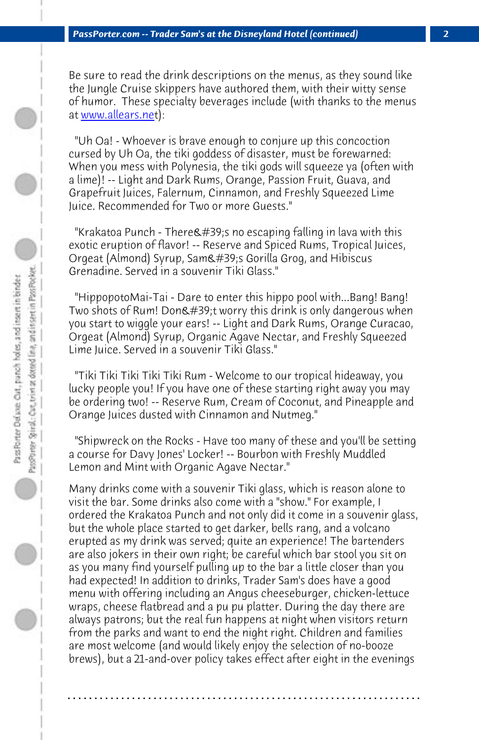*PassPorter.com -- Trader Sam's at the Disneyland Hotel (continued) 2*

Be sure to read the drink descriptions on the menus, as they sound like the Jungle Cruise skippers have authored them, with their witty sense of humor. These specialty beverages include (with thanks to the menus at www.allears.net):

 "Uh Oa! - Whoever is brave enough to conjure up this concoction cursed by Uh Oa, the tiki goddess of disaster, must be forewarned: When you mess with Polynesia, the tiki gods will squeeze ya (often with a lime)! -- Light and Dark Rums, Orange, Passion Fruit, Guava, and Grapefruit Juices, Falernum, Cinnamon, and Freshly Squeezed Lime Juice. Recommended for Two or more Guests."

"Krakatoa Punch - There  $\#39$ ; no escaping falling in lava with this exotic eruption of flavor! -- Reserve and Spiced Rums, Tropical Juices, Orgeat (Almond) Syrup, Sam's Gorilla Grog, and Hibiscus Grenadine. Served in a souvenir Tiki Glass."

 "HippopotoMai-Tai - Dare to enter this hippo pool with...Bang! Bang! Two shots of Rum! Don't worry this drink is only dangerous when you start to wiggle your ears! -- Light and Dark Rums, Orange Curacao, Orgeat (Almond) Syrup, Organic Agave Nectar, and Freshly Squeezed Lime Juice. Served in a souvenir Tiki Glass."

 "Tiki Tiki Tiki Tiki Tiki Rum - Welcome to our tropical hideaway, you lucky people you! If you have one of these starting right away you may be ordering two! -- Reserve Rum, Cream of Coconut, and Pineapple and Orange Juices dusted with Cinnamon and Nutmeg."

 "Shipwreck on the Rocks - Have too many of these and you'll be setting a course for Davy Jones' Locker! -- Bourbon with Freshly Muddled Lemon and Mint with Organic Agave Nectar."

Many drinks come with a souvenir Tiki glass, which is reason alone to visit the bar. Some drinks also come with a "show." For example, I ordered the Krakatoa Punch and not only did it come in a souvenir glass, but the whole place started to get darker, bells rang, and a volcano erupted as my drink was served; quite an experience! The bartenders are also jokers in their own right; be careful which bar stool you sit on as you many find yourself pulling up to the bar a little closer than you had expected! In addition to drinks, Trader Sam's does have a good menu with offering including an Angus cheeseburger, chicken-lettuce wraps, cheese flatbread and a pu pu platter. During the day there are always patrons; but the real fun happens at night when visitors return from the parks and want to end the night right. Children and families are most welcome (and would likely enjoy the selection of no-booze brews), but a 21-and-over policy takes effect after eight in the evenings

**. . . . . . . . . . . . . . . . . . . . . . . . . . . . . . . . . . . . . . . . . . . . . . . . . . . . . . . . . . . . . . . . . .**